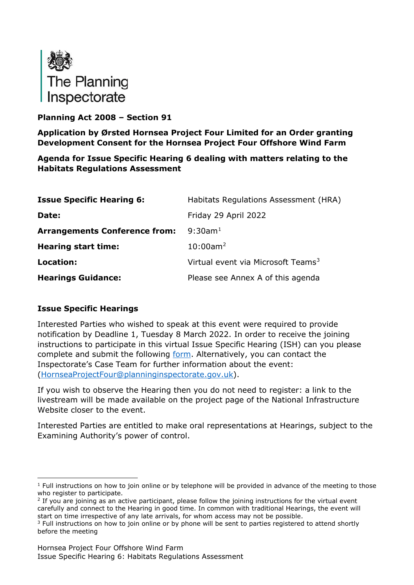

# **Planning Act 2008 – Section 91**

**Application by Ørsted Hornsea Project Four Limited for an Order granting Development Consent for the Hornsea Project Four Offshore Wind Farm**

**Agenda for Issue Specific Hearing 6 dealing with matters relating to the Habitats Regulations Assessment**

| <b>Issue Specific Hearing 6:</b>     | Habitats Regulations Assessment (HRA)          |
|--------------------------------------|------------------------------------------------|
| Date:                                | Friday 29 April 2022                           |
| <b>Arrangements Conference from:</b> | $9:30$ am <sup>1</sup>                         |
| <b>Hearing start time:</b>           | $10:00$ am <sup>2</sup>                        |
| Location:                            | Virtual event via Microsoft Teams <sup>3</sup> |
| <b>Hearings Guidance:</b>            | Please see Annex A of this agenda              |

## **Issue Specific Hearings**

Interested Parties who wished to speak at this event were required to provide notification by Deadline 1, Tuesday 8 March 2022. In order to receive the joining instructions to participate in this virtual Issue Specific Hearing (ISH) can you please complete and submit the following [form.](https://forms.office.com/pages/responsepage.aspx?id=mN94WIhvq0iTIpmM5VcIje6FHDvzmKBHiEi84DrjxWpUOEJNN00zTTVVTzhaVUxBSU1KTkFMUjY5SC4u) Alternatively, you can contact the Inspectorate's Case Team for further information about the event: [\(HornseaProjectFour@planninginspectorate.gov.uk\)](mailto:HornseaProjectFour@planninginspectorate.gov.uk).

If you wish to observe the Hearing then you do not need to register: a link to the livestream will be made available on the project page of the National Infrastructure Website closer to the event.

Interested Parties are entitled to make oral representations at Hearings, subject to the Examining Authority's power of control.

<span id="page-0-0"></span> $1$  Full instructions on how to join online or by telephone will be provided in advance of the meeting to those who register to participate.

<span id="page-0-1"></span> $<sup>2</sup>$  If you are joining as an active participant, please follow the joining instructions for the virtual event</sup> carefully and connect to the Hearing in good time. In common with traditional Hearings, the event will start on time irrespective of any late arrivals, for whom access may not be possible.

<span id="page-0-2"></span><sup>&</sup>lt;sup>3</sup> Full instructions on how to join online or by phone will be sent to parties registered to attend shortly before the meeting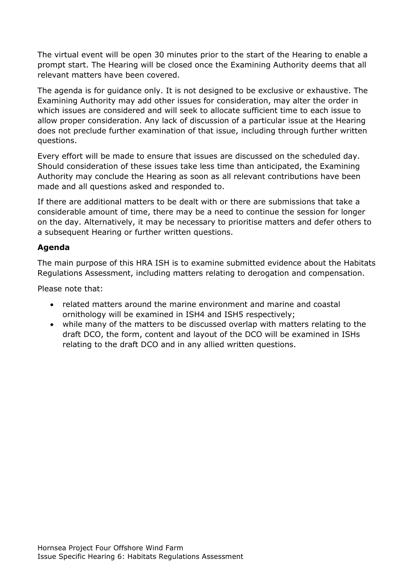The virtual event will be open 30 minutes prior to the start of the Hearing to enable a prompt start. The Hearing will be closed once the Examining Authority deems that all relevant matters have been covered.

The agenda is for guidance only. It is not designed to be exclusive or exhaustive. The Examining Authority may add other issues for consideration, may alter the order in which issues are considered and will seek to allocate sufficient time to each issue to allow proper consideration. Any lack of discussion of a particular issue at the Hearing does not preclude further examination of that issue, including through further written questions.

Every effort will be made to ensure that issues are discussed on the scheduled day. Should consideration of these issues take less time than anticipated, the Examining Authority may conclude the Hearing as soon as all relevant contributions have been made and all questions asked and responded to.

If there are additional matters to be dealt with or there are submissions that take a considerable amount of time, there may be a need to continue the session for longer on the day. Alternatively, it may be necessary to prioritise matters and defer others to a subsequent Hearing or further written questions.

## **Agenda**

The main purpose of this HRA ISH is to examine submitted evidence about the Habitats Regulations Assessment, including matters relating to derogation and compensation.

Please note that:

- related matters around the marine environment and marine and coastal ornithology will be examined in ISH4 and ISH5 respectively;
- while many of the matters to be discussed overlap with matters relating to the draft DCO, the form, content and layout of the DCO will be examined in ISHs relating to the draft DCO and in any allied written questions.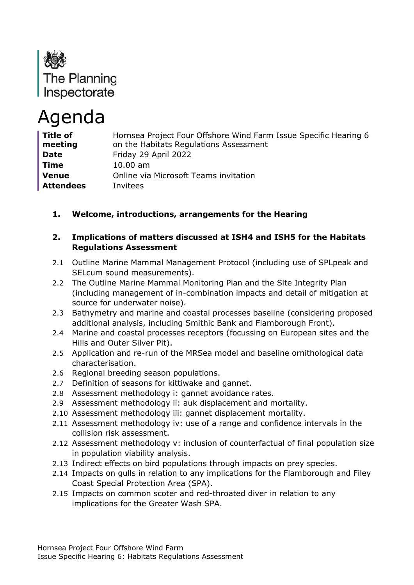

# Agenda

| <b>Title of</b><br>meeting | Hornsea Project Four Offshore Wind Farm Issue Specific Hearing 6<br>on the Habitats Regulations Assessment |
|----------------------------|------------------------------------------------------------------------------------------------------------|
| <b>Date</b>                | Friday 29 April 2022                                                                                       |
| <b>Time</b>                | $10.00 \text{ am}$                                                                                         |
| <b>Venue</b>               | Online via Microsoft Teams invitation                                                                      |
| <b>Attendees</b>           | Invitees                                                                                                   |

# **1. Welcome, introductions, arrangements for the Hearing**

#### **2. Implications of matters discussed at ISH4 and ISH5 for the Habitats Regulations Assessment**

- 2.1 Outline Marine Mammal Management Protocol (including use of SPLpeak and SELcum sound measurements).
- 2.2 The Outline Marine Mammal Monitoring Plan and the Site Integrity Plan (including management of in-combination impacts and detail of mitigation at source for underwater noise).
- 2.3 Bathymetry and marine and coastal processes baseline (considering proposed additional analysis, including Smithic Bank and Flamborough Front).
- 2.4 Marine and coastal processes receptors (focussing on European sites and the Hills and Outer Silver Pit).
- 2.5 Application and re-run of the MRSea model and baseline ornithological data characterisation.
- 2.6 Regional breeding season populations.
- 2.7 Definition of seasons for kittiwake and gannet.
- 2.8 Assessment methodology i: gannet avoidance rates.
- 2.9 Assessment methodology ii: auk displacement and mortality.
- 2.10 Assessment methodology iii: gannet displacement mortality.
- 2.11 Assessment methodology iv: use of a range and confidence intervals in the collision risk assessment.
- 2.12 Assessment methodology v: inclusion of counterfactual of final population size in population viability analysis.
- 2.13 Indirect effects on bird populations through impacts on prey species.
- 2.14 Impacts on gulls in relation to any implications for the Flamborough and Filey Coast Special Protection Area (SPA).
- 2.15 Impacts on common scoter and red-throated diver in relation to any implications for the Greater Wash SPA.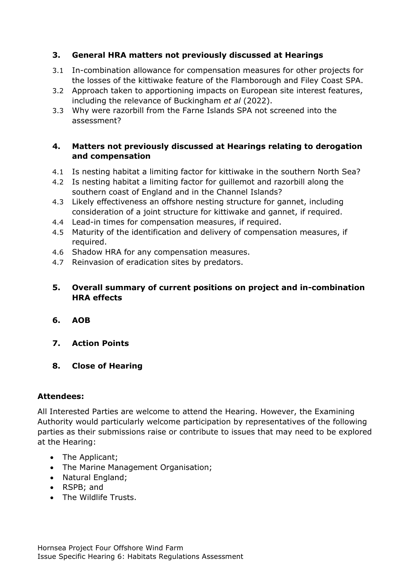# **3. General HRA matters not previously discussed at Hearings**

- 3.1 In-combination allowance for compensation measures for other projects for the losses of the kittiwake feature of the Flamborough and Filey Coast SPA.
- 3.2 Approach taken to apportioning impacts on European site interest features, including the relevance of Buckingham *et al* (2022).
- 3.3 Why were razorbill from the Farne Islands SPA not screened into the assessment?

#### **4. Matters not previously discussed at Hearings relating to derogation and compensation**

- 4.1 Is nesting habitat a limiting factor for kittiwake in the southern North Sea?
- 4.2 Is nesting habitat a limiting factor for guillemot and razorbill along the southern coast of England and in the Channel Islands?
- 4.3 Likely effectiveness an offshore nesting structure for gannet, including consideration of a joint structure for kittiwake and gannet, if required.
- 4.4 Lead-in times for compensation measures, if required.
- 4.5 Maturity of the identification and delivery of compensation measures, if required.
- 4.6 Shadow HRA for any compensation measures.
- 4.7 Reinvasion of eradication sites by predators.

## **5. Overall summary of current positions on project and in-combination HRA effects**

- **6. AOB**
- **7. Action Points**
- **8. Close of Hearing**

#### **Attendees:**

All Interested Parties are welcome to attend the Hearing. However, the Examining Authority would particularly welcome participation by representatives of the following parties as their submissions raise or contribute to issues that may need to be explored at the Hearing:

- The Applicant;
- The Marine Management Organisation;
- Natural England;
- RSPB; and
- The Wildlife Trusts.